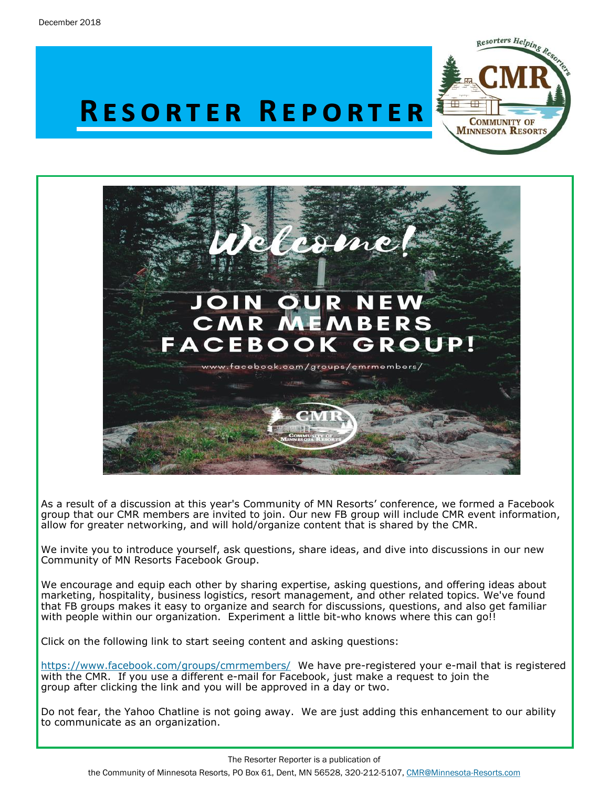

# **R e s o r t e r R e p o r t e r**



As a result of a discussion at this year's Community of MN Resorts' conference, we formed a Facebook group that our CMR members are invited to join. Our new FB group will include CMR event information, allow for greater networking, and will hold/organize content that is shared by the CMR.

We invite you to introduce yourself, ask questions, share ideas, and dive into discussions in our new Community of MN Resorts Facebook Group.

We encourage and equip each other by sharing expertise, asking questions, and offering ideas about marketing, hospitality, business logistics, resort management, and other related topics. We've found that FB groups makes it easy to organize and search for discussions, questions, and also get familiar with people within our organization. Experiment a little bit-who knows where this can go!!

Click on the following link to start seeing content and asking questions:

<https://www.facebook.com/groups/cmrmembers/> We have pre-registered your e-mail that is registered with the CMR. If you use a different e-mail for Facebook, just make a request to join the group after clicking the link and you will be approved in a day or two.

Do not fear, the Yahoo Chatline is not going away. We are just adding this enhancement to our ability to communicate as an organization.

The Resorter Reporter is a publication of the Community of Minnesota Resorts, PO Box 61, Dent, MN 56528, 320-212-5107, [CMR@Minnesota-Resorts.com](mailto:CMR@Minnesota-Resorts.com?subject=Community%20of%20Minnesota%20Resorts)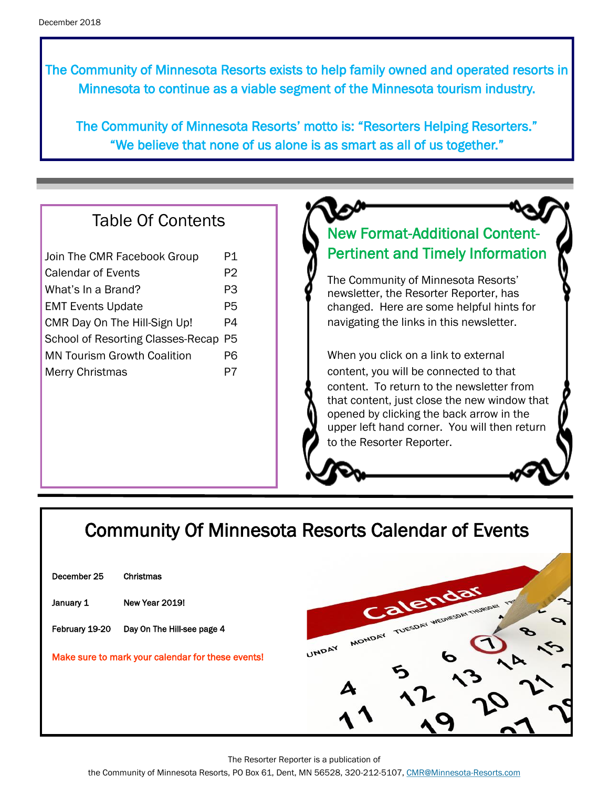The Community of Minnesota Resorts exists to help family owned and operated resorts in Minnesota to continue as a viable segment of the Minnesota tourism industry.

The Community of Minnesota Resorts' motto is: "Resorters Helping Resorters." "We believe that none of us alone is as smart as all of us together."

### Table Of Contents

| Join The CMR Facebook Group              | P1. |
|------------------------------------------|-----|
| Calendar of Events                       | P2  |
| What's In a Brand?                       | P3  |
| <b>EMT Events Update</b>                 | P5  |
| CMR Day On The Hill-Sign Up!             | P4  |
| <b>School of Resorting Classes-Recap</b> | P5  |
| <b>MN Tourism Growth Coalition</b>       | P6  |
| <b>Merry Christmas</b>                   | P7  |
|                                          |     |

## New Format-Additional Content-Pertinent and Timely Information

The Community of Minnesota Resorts' newsletter, the Resorter Reporter, has changed. Here are some helpful hints for navigating the links in this newsletter.

When you click on a link to external content, you will be connected to that content. To return to the newsletter from that content, just close the new window that opened by clicking the back arrow in the upper left hand corner. You will then return to the Resorter Reporter.

## Community Of Minnesota Resorts Calendar of Events

| Christmas                                         |  |
|---------------------------------------------------|--|
| New Year 2019!                                    |  |
| Day On The Hill-see page 4                        |  |
| Make sure to mark your calendar for these events! |  |
|                                                   |  |
|                                                   |  |



The Resorter Reporter is a publication of

the Community of Minnesota Resorts, PO Box 61, Dent, MN 56528, 320-212-5107, [CMR@Minnesota-Resorts.com](mailto:CMR@Minnesota-Resorts.com?subject=Community%20of%20Minnesota%20Resorts)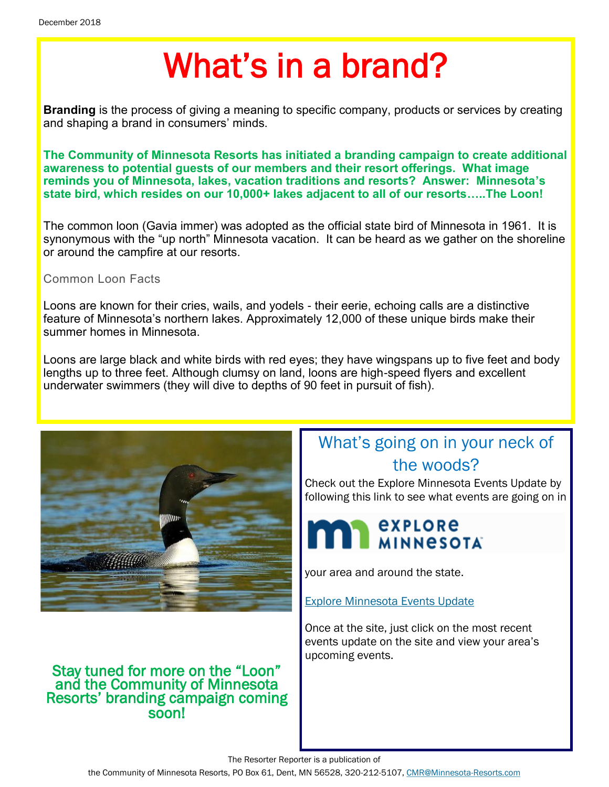# What's in a brand?

**Branding** is the process of giving a meaning to specific company, products or services by creating and shaping a brand in consumers' minds.

**The Community of Minnesota Resorts has initiated a branding campaign to create additional awareness to potential guests of our members and their resort offerings. What image reminds you of Minnesota, lakes, vacation traditions and resorts? Answer: Minnesota's state bird, which resides on our 10,000+ lakes adjacent to all of our resorts…..The Loon!**

The common loon (Gavia immer) was adopted as the official state bird of Minnesota in 1961. It is synonymous with the "up north" Minnesota vacation. It can be heard as we gather on the shoreline or around the campfire at our resorts.

#### Common Loon Facts

Loons are known for their cries, wails, and yodels - their eerie, echoing calls are a distinctive feature of Minnesota's northern lakes. Approximately 12,000 of these unique birds make their summer homes in Minnesota.

Loons are large black and white birds with red eyes; they have wingspans up to five feet and body lengths up to three feet. Although clumsy on land, loons are high-speed flyers and excellent underwater swimmers (they will dive to depths of 90 feet in pursuit of fish).



#### Stay tuned for more on the "Loon" and the Community of Minnesota Resorts' branding campaign coming soon!

## What's going on in your neck of the woods?

Check out the Explore Minnesota Events Update by following this link to see what events are going on in



your area and around the state.

[Explore Minnesota Events Update](http://www.exploreminnesota.com/newsletter-sign-up/reports/events-report/)

Once at the site, just click on the most recent events update on the site and view your area's upcoming events.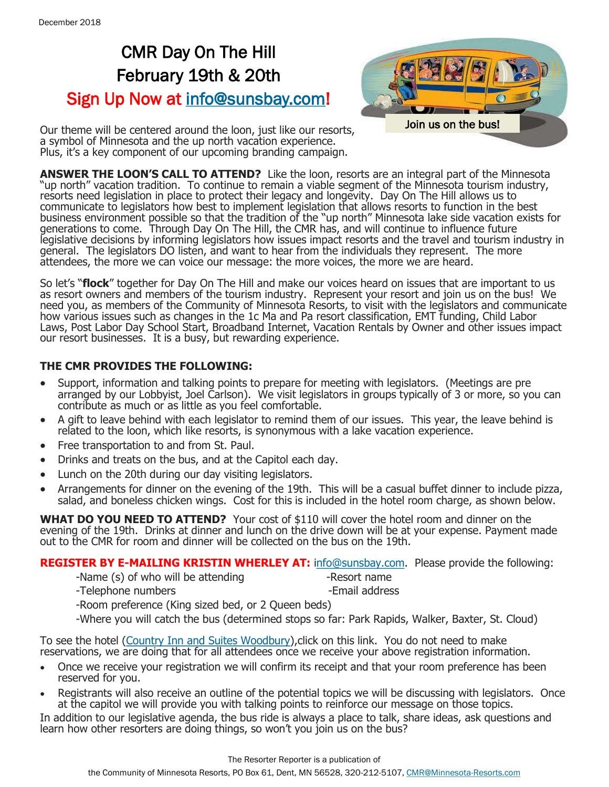## CMR Day On The Hill February 19th & 20th Sign Up Now at [info@sunsbay.com!](mailto:info@sunsbay.com?subject=Day%20On%20The%20Hill%20Sign-Up)



Our theme will be centered around the loon, just like our resorts, a symbol of Minnesota and the up north vacation experience. Plus, it's a key component of our upcoming branding campaign.

**ANSWER THE LOON'S CALL TO ATTEND?** Like the loon, resorts are an integral part of the Minnesota "up north" vacation tradition. To continue to remain a viable segment of the Minnesota tourism industry, resorts need legislation in place to protect their legacy and longevity. Day On The Hill allows us to communicate to legislators how best to implement legislation that allows resorts to function in the best business environment possible so that the tradition of the "up north" Minnesota lake side vacation exists for generations to come. Through Day On The Hill, the CMR has, and will continue to influence future legislative decisions by informing legislators how issues impact resorts and the travel and tourism industry in general. The legislators DO listen, and want to hear from the individuals they represent. The more attendees, the more we can voice our message: the more voices, the more we are heard.

So let's "**flock**" together for Day On The Hill and make our voices heard on issues that are important to us as resort owners and members of the tourism industry. Represent your resort and join us on the bus! We need you, as members of the Community of Minnesota Resorts, to visit with the legislators and communicate how various issues such as changes in the 1c Ma and Pa resort classification, EMT funding, Child Labor Laws, Post Labor Day School Start, Broadband Internet, Vacation Rentals by Owner and other issues impact our resort businesses. It is a busy, but rewarding experience.

#### **THE CMR PROVIDES THE FOLLOWING:**

- Support, information and talking points to prepare for meeting with legislators. (Meetings are pre arranged by our Lobbyist, Joel Carlson). We visit legislators in groups typically of 3 or more, so you can contribute as much or as little as you feel comfortable.
- A gift to leave behind with each legislator to remind them of our issues. This year, the leave behind is related to the loon, which like resorts, is synonymous with a lake vacation experience.
- Free transportation to and from St. Paul.
- Drinks and treats on the bus, and at the Capitol each day.
- Lunch on the 20th during our day visiting legislators.
- Arrangements for dinner on the evening of the 19th. This will be a casual buffet dinner to include pizza, salad, and boneless chicken wings. Cost for this is included in the hotel room charge, as shown below.

**WHAT DO YOU NEED TO ATTEND?** Your cost of \$110 will cover the hotel room and dinner on the evening of the 19th. Drinks at dinner and lunch on the drive down will be at your expense. Payment made out to the CMR for room and dinner will be collected on the bus on the 19th.

#### **REGISTER BY E-MAILING KRISTIN WHERLEY AT:** [info@sunsbay.com.](mailto:info@sunsbay.com?subject=Day%20On%20The%20Hill) Please provide the following:

-Name (s) of who will be attending The section of the section of the extending  $\sim$ 

- -Telephone numbers **-Email address**
- 

-Room preference (King sized bed, or 2 Queen beds)

-Where you will catch the bus (determined stops so far: Park Rapids, Walker, Baxter, St. Cloud)

To see the hotel ([Country Inn and Suites Woodbury\),](https://www.countryinns.com/woodbury-hotel-mn-55125/mnwoodbu) click on this link. You do not need to make reservations, we are doing that for all attendees once we receive your above registration information.

- Once we receive your registration we will confirm its receipt and that your room preference has been reserved for you.
- Registrants will also receive an outline of the potential topics we will be discussing with legislators. Once at the capitol we will provide you with talking points to reinforce our message on those topics.

In addition to our legislative agenda, the bus ride is always a place to talk, share ideas, ask questions and learn how other resorters are doing things, so won't you join us on the bus?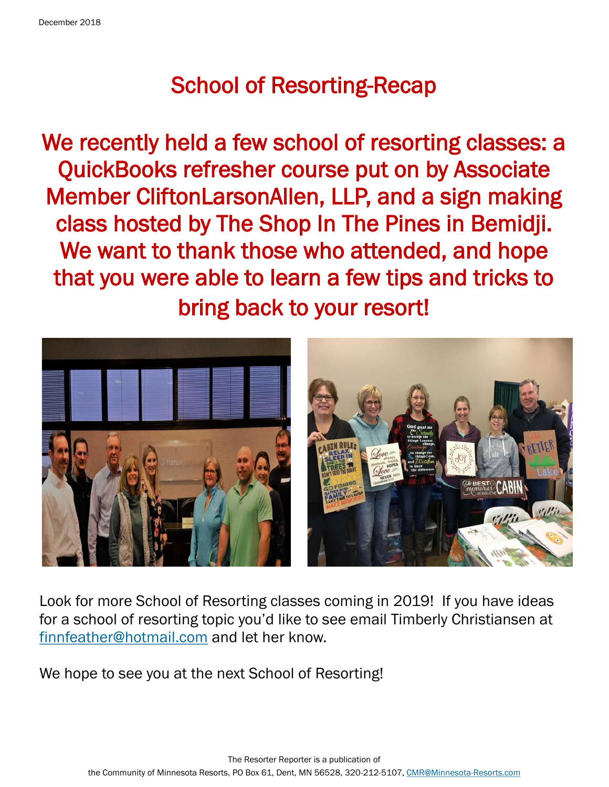## School of Resorting-Recap

We recently held a few school of resorting classes: a QuickBooks refresher course put on by Associate Member CliftonLarsonAllen, LLP, and a sign making class hosted by The Shop In The Pines in Bemidji. We want to thank those who attended, and hope that you were able to learn a few tips and tricks to bring back to your resort!



Look for more School of Resorting classes coming in 2019! If you have ideas for a school of resorting topic you'd like to see email Timberly Christiansen at [finnfeather@hotmail.com](mailto:finnfeather@hotmail.com?subject=School%20of%20Resorting%20Classes) and let her know.

We hope to see you at the next School of Resorting!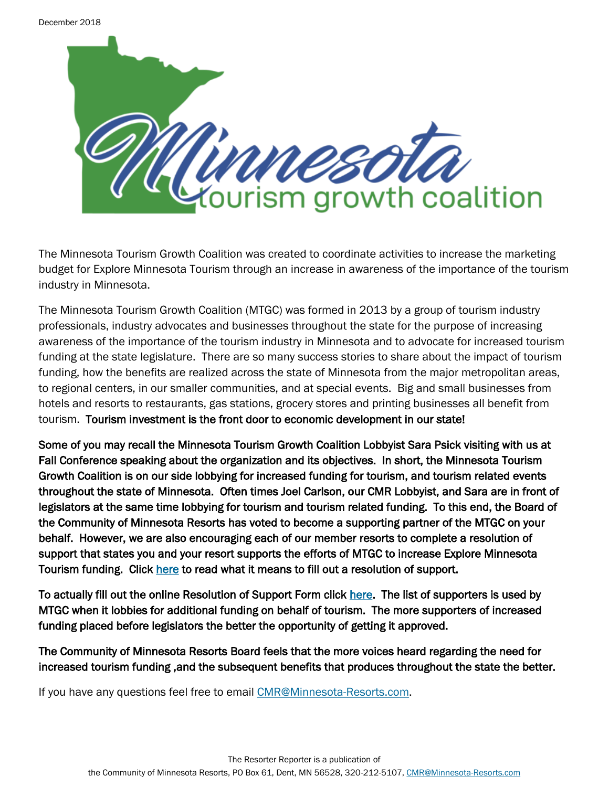

The Minnesota Tourism Growth Coalition was created to coordinate activities to increase the marketing budget for Explore Minnesota Tourism through an increase in awareness of the importance of the tourism industry in Minnesota.

The Minnesota Tourism Growth Coalition (MTGC) was formed in 2013 by a group of tourism industry professionals, industry advocates and businesses throughout the state for the purpose of increasing awareness of the importance of the tourism industry in Minnesota and to advocate for increased tourism funding at the state legislature. There are so many success stories to share about the impact of tourism funding, how the benefits are realized across the state of Minnesota from the major metropolitan areas, to regional centers, in our smaller communities, and at special events. Big and small businesses from hotels and resorts to restaurants, gas stations, grocery stores and printing businesses all benefit from tourism. Tourism investment is the front door to economic development in our state!

Some of you may recall the Minnesota Tourism Growth Coalition Lobbyist Sara Psick visiting with us at Fall Conference speaking about the organization and its objectives. In short, the Minnesota Tourism Growth Coalition is on our side lobbying for increased funding for tourism, and tourism related events throughout the state of Minnesota. Often times Joel Carlson, our CMR Lobbyist, and Sara are in front of legislators at the same time lobbying for tourism and tourism related funding. To this end, the Board of the Community of Minnesota Resorts has voted to become a supporting partner of the MTGC on your behalf. However, we are also encouraging each of our member resorts to complete a resolution of support that states you and your resort supports the efforts of MTGC to increase Explore Minnesota Tourism funding. Click [here t](http://mntourism.net/resolution-of-support/)o read what it means to fill out a resolution of support.

To actually fill out the online Resolution of Support Form click [here.](http://mntourism.net/resolution-of-support-form/) The list of supporters is used by MTGC when it lobbies for additional funding on behalf of tourism. The more supporters of increased funding placed before legislators the better the opportunity of getting it approved.

The Community of Minnesota Resorts Board feels that the more voices heard regarding the need for increased tourism funding ,and the subsequent benefits that produces throughout the state the better.

If you have any questions feel free to email [CMR@Minnesota-Resorts.com.](mailto:CMR@Minnesota-Resorts.com?subject=MN%20Tourism%20Growth%20Coalition)